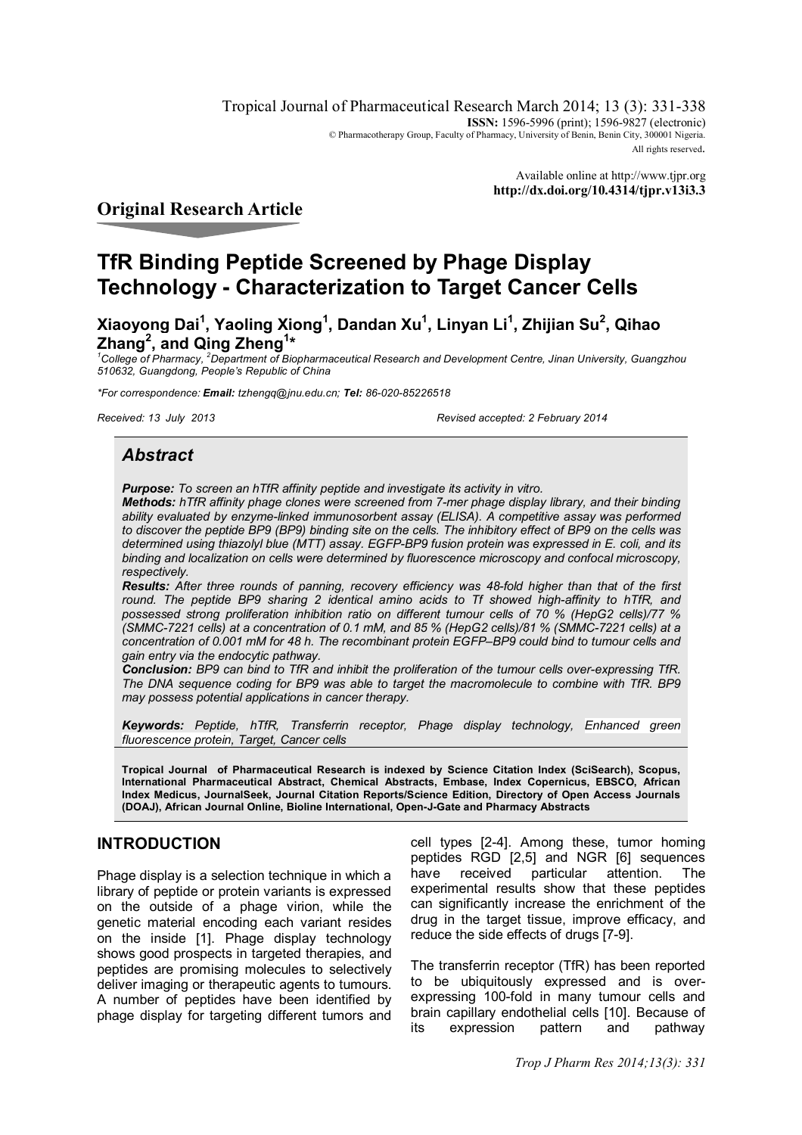Tropical Journal of Pharmaceutical Research March 2014; 13 (3): 331-338 **ISSN:** 1596-5996 (print): 1596-9827 (electronic) © Pharmacotherapy Group, Faculty of Pharmacy, University of Benin, Benin City, 300001 Nigeria. All rights reserved.

> Available online at http://www.tjpr.org **http://dx.doi.org/10.4314/tjpr.v13i3.3**

## **Original Research Article**

# **TfR Binding Peptide Screened by Phage Display Technology - Characterization to Target Cancer Cells**

**Xiaoyong Dai<sup>1</sup> , Yaoling Xiong<sup>1</sup> , Dandan Xu<sup>1</sup> , Linyan Li<sup>1</sup> , Zhijian Su<sup>2</sup> , Qihao Zhang<sup>2</sup> , and Qing Zheng<sup>1</sup> \***

*<sup>1</sup>College of Pharmacy, <sup>2</sup>Department of Biopharmaceutical Research and Development Centre, Jinan University, Guangzhou 510632, Guangdong, People's Republic of China*

*\*For correspondence: Email: tzhengq@jnu.edu.cn; Tel: 86-020-85226518*

*Received: 13 July 2013 Revised accepted: 2 February 2014*

## *Abstract*

*Purpose: To screen an hTfR affinity peptide and investigate its activity in vitro.*

*Methods: hTfR affinity phage clones were screened from 7-mer phage display library, and their binding ability evaluated by enzyme-linked immunosorbent assay (ELISA). A competitive assay was performed to discover the peptide BP9 (BP9) binding site on the cells. The inhibitory effect of BP9 on the cells was determined using thiazolyl blue (MTT) assay. EGFP-BP9 fusion protein was expressed in E. coli, and its binding and localization on cells were determined by fluorescence microscopy and confocal microscopy, respectively.* 

*Results: After three rounds of panning, recovery efficiency was 48-fold higher than that of the first*  round. The peptide BP9 sharing 2 identical amino acids to Tf showed high-affinity to hTfR, and *possessed strong proliferation inhibition ratio on different tumour cells of 70 % (HepG2 cells)/77 % (SMMC-7221 cells) at a concentration of 0.1 mM, and 85 % (HepG2 cells)/81 % (SMMC-7221 cells) at a concentration of 0.001 mM for 48 h. The recombinant protein EGFP–BP9 could bind to tumour cells and gain entry via the endocytic pathway.*

*Conclusion: BP9 can bind to TfR and inhibit the proliferation of the tumour cells over-expressing TfR. The DNA sequence coding for BP9 was able to target the macromolecule to combine with TfR. BP9 may possess potential applications in cancer therapy.*

*Keywords: Peptide, hTfR, Transferrin receptor, Phage display technology, Enhanced green fluorescence protein, Target, Cancer cells*

**Tropical Journal of Pharmaceutical Research is indexed by Science Citation Index (SciSearch), Scopus, International Pharmaceutical Abstract, Chemical Abstracts, Embase, Index Copernicus, EBSCO, African Index Medicus, JournalSeek, Journal Citation Reports/Science Edition, Directory of Open Access Journals (DOAJ), African Journal Online, Bioline International, Open-J-Gate and Pharmacy Abstracts**

## **INTRODUCTION**

Phage display is a selection technique in which a library of peptide or protein variants is expressed on the outside of a phage virion, while the genetic material encoding each variant resides on the inside [1]. Phage display technology shows good prospects in targeted therapies, and peptides are promising molecules to selectively deliver imaging or therapeutic agents to tumours. A number of peptides have been identified by phage display for targeting different tumors and

cell types [2-4]. Among these, tumor homing peptides RGD [2,5] and NGR [6] sequences have received particular attention. The experimental results show that these peptides can significantly increase the enrichment of the drug in the target tissue, improve efficacy, and reduce the side effects of drugs [7-9].

The transferrin receptor (TfR) has been reported to be ubiquitously expressed and is overexpressing 100-fold in many tumour cells and brain capillary endothelial cells [10]. Because of its expression pattern and pathway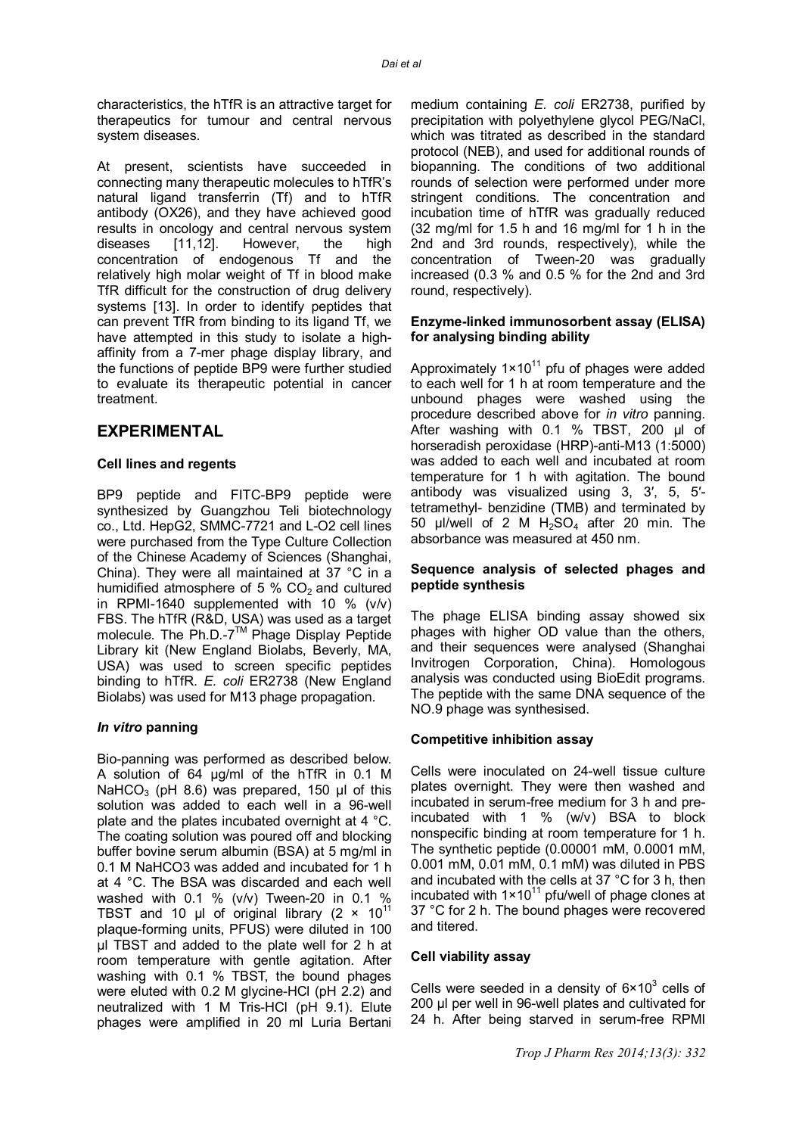characteristics, the hTfR is an attractive target for therapeutics for tumour and central nervous system diseases.

At present, scientists have succeeded in connecting many therapeutic molecules to hTfR's natural ligand transferrin (Tf) and to hTfR antibody (OX26), and they have achieved good results in oncology and central nervous system diseases [11,12]. However, the high concentration of endogenous Tf and the relatively high molar weight of Tf in blood make TfR difficult for the construction of drug delivery systems [13]. In order to identify peptides that can prevent TfR from binding to its ligand Tf, we have attempted in this study to isolate a highaffinity from a 7-mer phage display library, and the functions of peptide BP9 were further studied to evaluate its therapeutic potential in cancer treatment.

### **EXPERIMENTAL**

#### **Cell lines and regents**

BP9 peptide and FITC-BP9 peptide were synthesized by Guangzhou Teli biotechnology co., Ltd. HepG2, SMMC-7721 and L-O2 cell lines were purchased from the Type Culture Collection of the Chinese Academy of Sciences (Shanghai, China). They were all maintained at 37 °C in a humidified atmosphere of 5 %  $CO<sub>2</sub>$  and cultured in RPMI-1640 supplemented with 10 %  $(v/v)$ FBS. The hTfR (R&D, USA) was used as a target molecule. The Ph.D.-7™ Phage Display Peptide Library kit (New England Biolabs, Beverly, MA, USA) was used to screen specific peptides binding to hTfR. *E. coli* ER2738 (New England Biolabs) was used for M13 phage propagation.

#### *In vitro* **panning**

Bio-panning was performed as described below. A solution of 64 μg/ml of the hTfR in 0.1 M NaHCO<sub>3</sub> (pH 8.6) was prepared, 150 μl of this solution was added to each well in a 96-well plate and the plates incubated overnight at 4 °C. The coating solution was poured off and blocking buffer bovine serum albumin (BSA) at 5 mg/ml in 0.1 M NaHCO3 was added and incubated for 1 h at 4 °C. The BSA was discarded and each well washed with 0.1 % (v/v) Tween-20 in 0.1 % TBST and 10 μl of original library  $(2 \times 10^{11}$ plaque-forming units, PFUS) were diluted in 100 μl TBST and added to the plate well for 2 h at room temperature with gentle agitation. After washing with 0.1 % TBST, the bound phages were eluted with 0.2 M glycine-HCl (pH 2.2) and neutralized with 1 M Tris-HCl (pH 9.1). Elute phages were amplified in 20 ml Luria Bertani

medium containing *E. coli* ER2738, purified by precipitation with polyethylene glycol PEG/NaCl, which was titrated as described in the standard protocol (NEB), and used for additional rounds of biopanning. The conditions of two additional rounds of selection were performed under more stringent conditions. The concentration and incubation time of hTfR was gradually reduced (32 mg/ml for 1.5 h and 16 mg/ml for 1 h in the 2nd and 3rd rounds, respectively), while the concentration of Tween-20 was gradually increased (0.3 % and 0.5 % for the 2nd and 3rd round, respectively).

#### **Enzyme-linked immunosorbent assay (ELISA) for analysing binding ability**

Approximately  $1 \times 10^{11}$  pfu of phages were added to each well for 1 h at room temperature and the unbound phages were washed using the procedure described above for *in vitro* panning. After washing with 0.1 % TBST, 200 μl of horseradish peroxidase (HRP)-anti-M13 (1:5000) was added to each well and incubated at room temperature for 1 h with agitation. The bound antibody was visualized using 3, 3′, 5, 5′ tetramethyl- benzidine (TMB) and terminated by 50 μl/well of 2 M  $H_2SO_4$  after 20 min. The absorbance was measured at 450 nm.

#### **Sequence analysis of selected phages and peptide synthesis**

The phage ELISA binding assay showed six phages with higher OD value than the others, and their sequences were analysed (Shanghai Invitrogen Corporation, China). Homologous analysis was conducted using BioEdit programs. The peptide with the same DNA sequence of the NO.9 phage was synthesised.

#### **Competitive inhibition assay**

Cells were inoculated on 24-well tissue culture plates overnight. They were then washed and incubated in serum-free medium for 3 h and preincubated with 1 % (w/v) BSA to block nonspecific binding at room temperature for 1 h. The synthetic peptide (0.00001 mM, 0.0001 mM, 0.001 mM, 0.01 mM, 0.1 mM) was diluted in PBS and incubated with the cells at 37 °C for 3 h, then incubated with  $1 \times 10^{11}$  pfu/well of phage clones at 37 °C for 2 h. The bound phages were recovered and titered.

#### **Cell viability assay**

Cells were seeded in a density of  $6 \times 10^3$  cells of 200 μl per well in 96-well plates and cultivated for 24 h. After being starved in serum-free RPMI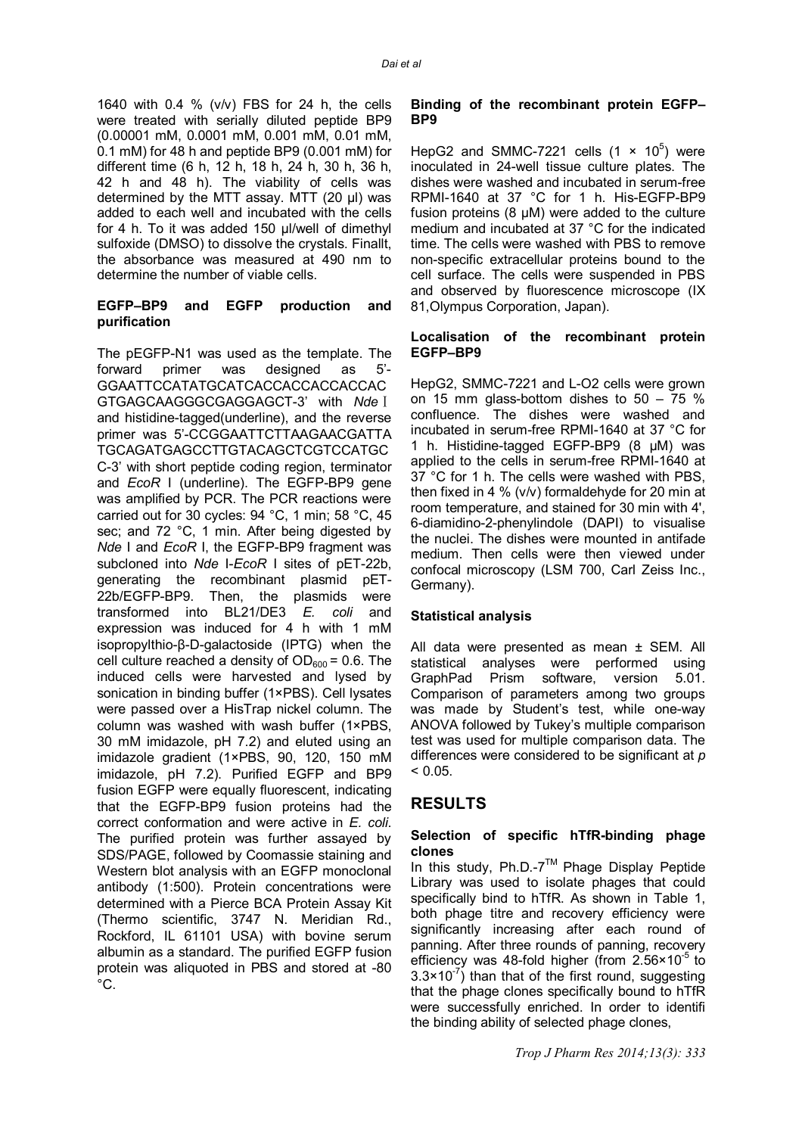1640 with 0.4 % (v/v) FBS for 24 h, the cells were treated with serially diluted peptide BP9 (0.00001 mM, 0.0001 mM, 0.001 mM, 0.01 mM, 0.1 mM) for 48 h and peptide BP9 (0.001 mM) for different time (6 h, 12 h, 18 h, 24 h, 30 h, 36 h, 42 h and 48 h). The viability of cells was determined by the MTT assay. MTT (20 μl) was added to each well and incubated with the cells for 4 h. To it was added 150 μl/well of dimethyl sulfoxide (DMSO) to dissolve the crystals. Finallt, the absorbance was measured at 490 nm to determine the number of viable cells.

#### **EGFP–BP9 and EGFP production and purification**

The pEGFP-N1 was used as the template. The forward primer was designed as 5'- GGAATTCCATATGCATCACCACCACCACCAC GTGAGCAAGGGCGAGGAGCT-3' with *Nde*Ⅰ and histidine-tagged(underline), and the reverse primer was 5'-CCGGAATTCTTAAGAACGATTA TGCAGATGAGCCTTGTACAGCTCGTCCATGC C-3' with short peptide coding region, terminator and *EcoR* I (underline). The EGFP-BP9 gene was amplified by PCR. The PCR reactions were carried out for 30 cycles: 94 °C, 1 min; 58 °C, 45 sec; and 72 °C, 1 min. After being digested by *Nde* I and *EcoR* I, the EGFP-BP9 fragment was subcloned into *Nde* I-*EcoR* I sites of pET-22b, generating the recombinant plasmid pET-22b/EGFP-BP9. Then, the plasmids were transformed into BL21/DE3 *E. coli* and expression was induced for 4 h with 1 mM isopropylthio-β-D-galactoside (IPTG) when the cell culture reached a density of  $OD_{600} = 0.6$ . The induced cells were harvested and lysed by sonication in binding buffer (1×PBS). Cell lysates were passed over a HisTrap nickel column. The column was washed with wash buffer (1×PBS, 30 mM imidazole, pH 7.2) and eluted using an imidazole gradient (1×PBS, 90, 120, 150 mM imidazole, pH 7.2). Purified EGFP and BP9 fusion EGFP were equally fluorescent, indicating that the EGFP-BP9 fusion proteins had the correct conformation and were active in *E. coli*. The purified protein was further assayed by SDS/PAGE, followed by Coomassie staining and Western blot analysis with an EGFP monoclonal antibody (1:500). Protein concentrations were determined with a Pierce BCA Protein Assay Kit (Thermo scientific, 3747 N. Meridian Rd., Rockford, IL 61101 USA) with bovine serum albumin as a standard. The purified EGFP fusion protein was aliquoted in PBS and stored at -80  $^{\circ}$ C.

#### **Binding of the recombinant protein EGFP– BP9**

HepG2 and SMMC-7221 cells  $(1 \times 10^5)$  were inoculated in 24-well tissue culture plates. The dishes were washed and incubated in serum-free RPMI-1640 at 37 °C for 1 h. His-EGFP-BP9 fusion proteins (8 μM) were added to the culture medium and incubated at 37 °C for the indicated time. The cells were washed with PBS to remove non-specific extracellular proteins bound to the cell surface. The cells were suspended in PBS and observed by fluorescence microscope (IX 81,Olympus Corporation, Japan).

#### **Localisation of the recombinant protein EGFP–BP9**

HepG2, SMMC-7221 and L-O2 cells were grown on 15 mm glass-bottom dishes to 50 – 75 % confluence. The dishes were washed and incubated in serum-free RPMI-1640 at 37 °C for 1 h. Histidine-tagged EGFP-BP9 (8 μM) was applied to the cells in serum-free RPMI-1640 at 37 °C for 1 h. The cells were washed with PBS, then fixed in 4 % (v/v) formaldehyde for 20 min at room temperature, and stained for 30 min with 4', 6-diamidino-2-phenylindole (DAPI) to visualise the nuclei. The dishes were mounted in antifade medium. Then cells were then viewed under confocal microscopy (LSM 700, Carl Zeiss Inc., Germany).

### **Statistical analysis**

All data were presented as mean ± SEM. All statistical analyses were performed using GraphPad Prism software, version 5.01. Comparison of parameters among two groups was made by Student's test, while one-way ANOVA followed by Tukey's multiple comparison test was used for multiple comparison data. The differences were considered to be significant at *p*  $< 0.05$ .

## **RESULTS**

#### **Selection of specific hTfR-binding phage clones**

In this study,  $Ph.D.-7<sup>TM</sup>$  Phage Display Peptide Library was used to isolate phages that could specifically bind to hTfR. As shown in Table 1, both phage titre and recovery efficiency were significantly increasing after each round of panning. After three rounds of panning, recovery efficiency was 48-fold higher (from  $2.56 \times 10^{-5}$  to  $3.3 \times 10^{-7}$ ) than that of the first round, suggesting that the phage clones specifically bound to hTfR were successfully enriched. In order to identifi the binding ability of selected phage clones,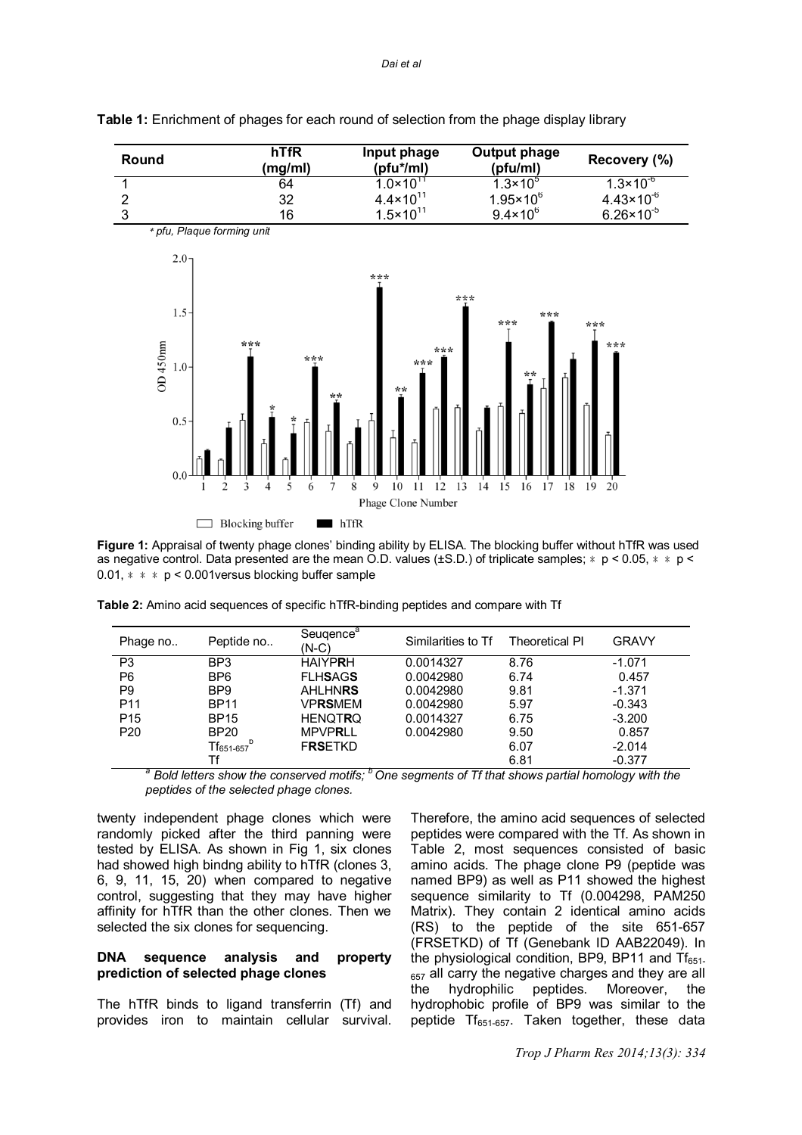

#### **Table 1:** Enrichment of phages for each round of selection from the phage display library

**Figure 1:** Appraisal of twenty phage clones' binding ability by ELISA. The blocking buffer without hTfR was used as negative control. Data presented are the mean O.D. values ( $\pm$ S.D.) of triplicate samples;  $*$  p < 0.05,  $*$   $*$  p < 0.01,  $* * p < 0.001$  versus blocking buffer sample

| Phage no        | Peptide no                                   | Seugence <sup>a</sup><br>$(N-C)$ | Similarities to Tf | <b>Theoretical PI</b> | <b>GRAVY</b> |
|-----------------|----------------------------------------------|----------------------------------|--------------------|-----------------------|--------------|
| P <sub>3</sub>  | BP <sub>3</sub>                              | <b>HAIYPRH</b>                   | 0.0014327          | 8.76                  | $-1.071$     |
| P <sub>6</sub>  | BP <sub>6</sub>                              | <b>FLHSAGS</b>                   | 0.0042980          | 6.74                  | 0.457        |
| P <sub>9</sub>  | BP <sub>9</sub>                              | <b>AHLHNRS</b>                   | 0.0042980          | 9.81                  | $-1.371$     |
| P <sub>11</sub> | <b>BP11</b>                                  | VPRSMEM                          | 0.0042980          | 5.97                  | $-0.343$     |
| P <sub>15</sub> | <b>BP15</b>                                  | <b>HENQTRQ</b>                   | 0.0014327          | 6.75                  | $-3.200$     |
| P <sub>20</sub> | <b>BP20</b>                                  | <b>MPVPRLL</b>                   | 0.0042980          | 9.50                  | 0.857        |
|                 | ${\mathsf Tf}_{651\text{-}657}^{\mathsf{b}}$ | <b>FRSETKD</b>                   |                    | 6.07                  | $-2.014$     |
| $     -$        | Tf                                           | $h =$                            |                    | 6.81                  | $-0.377$     |

|  |  | Table 2: Amino acid sequences of specific hTfR-binding peptides and compare with Tf |
|--|--|-------------------------------------------------------------------------------------|
|  |  |                                                                                     |
|  |  |                                                                                     |

*<sup>a</sup> Bold letters show the conserved motifs; <sup>b</sup>One segments of Tf that shows partial homology with the peptides of the selected phage clones.*

twenty independent phage clones which were randomly picked after the third panning were tested by ELISA. As shown in Fig 1, six clones had showed high bindng ability to hTfR (clones 3, 6, 9, 11, 15, 20) when compared to negative control, suggesting that they may have higher affinity for hTfR than the other clones. Then we selected the six clones for sequencing.

#### **DNA sequence analysis and property prediction of selected phage clones**

The hTfR binds to ligand transferrin (Tf) and provides iron to maintain cellular survival.

Therefore, the amino acid sequences of selected peptides were compared with the Tf. As shown in Table 2, most sequences consisted of basic amino acids. The phage clone P9 (peptide was named BP9) as well as P11 showed the highest sequence similarity to Tf (0.004298, PAM250 Matrix). They contain 2 identical amino acids (RS) to the peptide of the site 651-657 (FRSETKD) of Tf (Genebank ID AAB22049). In the physiological condition, BP9, BP11 and  $Tf_{651}$  $_{657}$  all carry the negative charges and they are all the  $\,$  hydrophilic peptides. Moreover, the the hydrophilic peptides. Moreover, the hydrophobic profile of BP9 was similar to the peptide  $Tf_{651-657}$ . Taken together, these data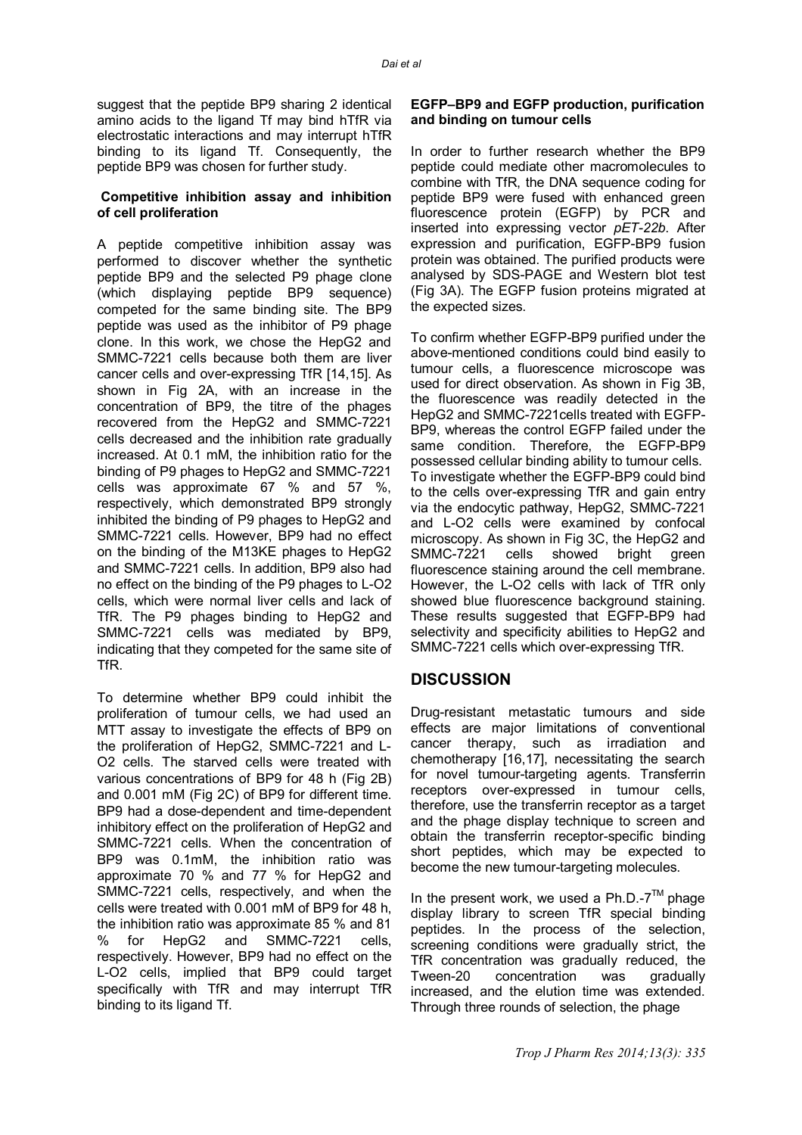suggest that the peptide BP9 sharing 2 identical amino acids to the ligand Tf may bind hTfR via electrostatic interactions and may interrupt hTfR binding to its ligand Tf. Consequently, the peptide BP9 was chosen for further study.

#### **Competitive inhibition assay and inhibition of cell proliferation**

A peptide competitive inhibition assay was performed to discover whether the synthetic peptide BP9 and the selected P9 phage clone (which displaying peptide BP9 sequence) competed for the same binding site. The BP9 peptide was used as the inhibitor of P9 phage clone. In this work, we chose the HepG2 and SMMC-7221 cells because both them are liver cancer cells and over-expressing TfR [14,15]. As shown in Fig 2A, with an increase in the concentration of BP9, the titre of the phages recovered from the HepG2 and SMMC-7221 cells decreased and the inhibition rate gradually increased. At 0.1 mM, the inhibition ratio for the binding of P9 phages to HepG2 and SMMC-7221 cells was approximate 67 % and 57 %, respectively, which demonstrated BP9 strongly inhibited the binding of P9 phages to HepG2 and SMMC-7221 cells. However, BP9 had no effect on the binding of the M13KE phages to HepG2 and SMMC-7221 cells. In addition, BP9 also had no effect on the binding of the P9 phages to L-O2 cells, which were normal liver cells and lack of TfR. The P9 phages binding to HepG2 and SMMC-7221 cells was mediated by BP9, indicating that they competed for the same site of TfR.

To determine whether BP9 could inhibit the proliferation of tumour cells, we had used an MTT assay to investigate the effects of BP9 on the proliferation of HepG2, SMMC-7221 and L-O2 cells. The starved cells were treated with various concentrations of BP9 for 48 h (Fig 2B) and 0.001 mM (Fig 2C) of BP9 for different time. BP9 had a dose-dependent and time-dependent inhibitory effect on the proliferation of HepG2 and SMMC-7221 cells. When the concentration of BP9 was 0.1mM, the inhibition ratio was approximate 70 % and 77 % for HepG2 and SMMC-7221 cells, respectively, and when the cells were treated with 0.001 mM of BP9 for 48 h, the inhibition ratio was approximate 85 % and 81 % for HepG2 and SMMC-7221 cells, respectively. However, BP9 had no effect on the L-O2 cells, implied that BP9 could target specifically with TfR and may interrupt TfR binding to its ligand Tf.

#### **EGFP–BP9 and EGFP production, purification and binding on tumour cells**

In order to further research whether the BP9 peptide could mediate other macromolecules to combine with TfR, the DNA sequence coding for peptide BP9 were fused with enhanced green fluorescence protein (EGFP) by PCR and inserted into expressing vector *pET-22b*. After expression and purification, EGFP-BP9 fusion protein was obtained. The purified products were analysed by SDS-PAGE and Western blot test (Fig 3A). The EGFP fusion proteins migrated at the expected sizes.

To confirm whether EGFP-BP9 purified under the above-mentioned conditions could bind easily to tumour cells, a fluorescence microscope was used for direct observation. As shown in Fig 3B, the fluorescence was readily detected in the HepG2 and SMMC-7221cells treated with EGFP-BP9, whereas the control EGFP failed under the same condition. Therefore, the EGFP-BP9 possessed cellular binding ability to tumour cells. To investigate whether the EGFP-BP9 could bind to the cells over-expressing TfR and gain entry via the endocytic pathway, HepG2, SMMC-7221 and L-O2 cells were examined by confocal microscopy. As shown in Fig 3C, the HepG2 and SMMC-7221 cells showed bright green fluorescence staining around the cell membrane. However, the L-O2 cells with lack of TfR only showed blue fluorescence background staining. These results suggested that EGFP-BP9 had selectivity and specificity abilities to HepG2 and SMMC-7221 cells which over-expressing TfR.

## **DISCUSSION**

Drug-resistant metastatic tumours and side effects are major limitations of conventional cancer therapy, such as irradiation and chemotherapy [16,17], necessitating the search for novel tumour-targeting agents. Transferrin receptors over-expressed in tumour cells, therefore, use the transferrin receptor as a target and the phage display technique to screen and obtain the transferrin receptor-specific binding short peptides, which may be expected to become the new tumour-targeting molecules.

In the present work, we used a Ph.D.- $7<sup>TM</sup>$  phage display library to screen TfR special binding peptides. In the process of the selection, screening conditions were gradually strict, the TfR concentration was gradually reduced, the Tween-20 concentration was gradually increased, and the elution time was extended. Through three rounds of selection, the phage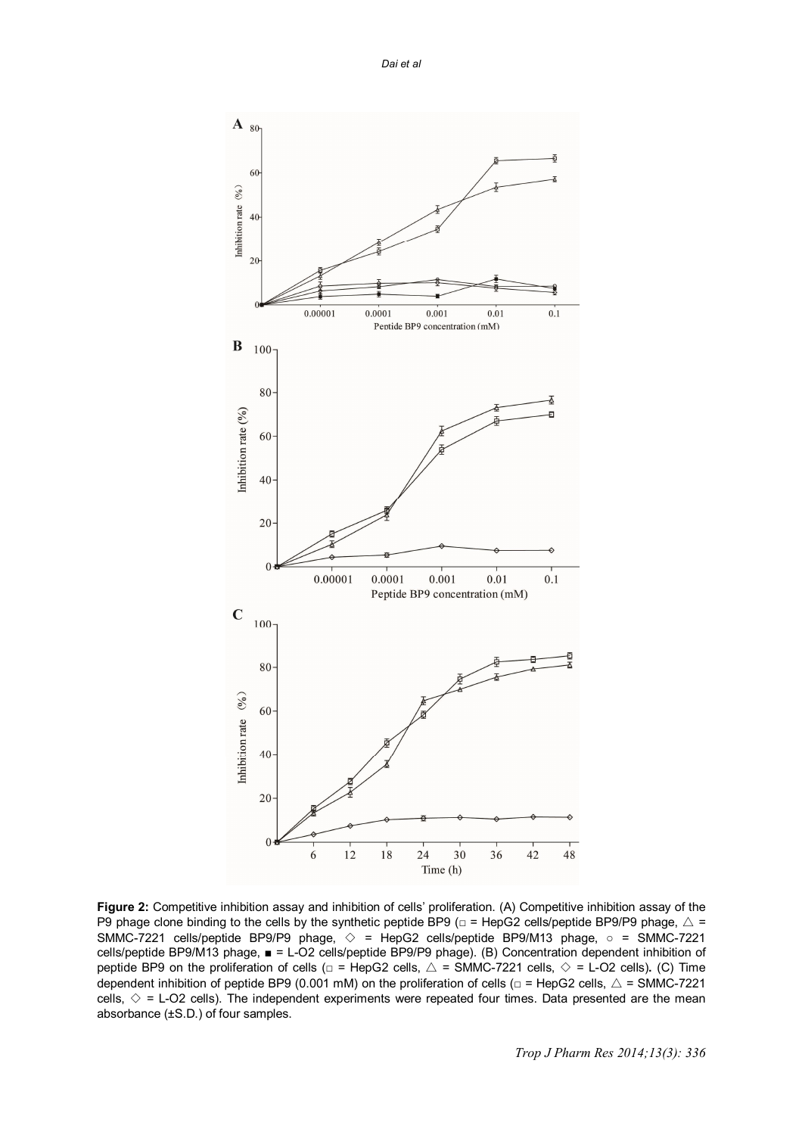

**Figure 2:** Competitive inhibition assay and inhibition of cells' proliferation. (A) Competitive inhibition assay of the P9 phage clone binding to the cells by the synthetic peptide BP9  $(□ = HepG2$  cells/peptide BP9/P9 phage,  $\triangle =$ SMMC-7221 cells/peptide BP9/P9 phage, ◇ = HepG2 cells/peptide BP9/M13 phage, ○ = SMMC-7221 cells/peptide BP9/M13 phage, ■ = L-O2 cells/peptide BP9/P9 phage). (B) Concentration dependent inhibition of peptide BP9 on the proliferation of cells  $\Box$  = HepG2 cells,  $\triangle$  = SMMC-7221 cells,  $\diamond$  = L-O2 cells). (C) Time dependent inhibition of peptide BP9 (0.001 mM) on the proliferation of cells ( $\Box$  = HepG2 cells,  $\triangle$  = SMMC-7221 cells,  $\diamond$  = L-O2 cells). The independent experiments were repeated four times. Data presented are the mean absorbance (±S.D.) of four samples.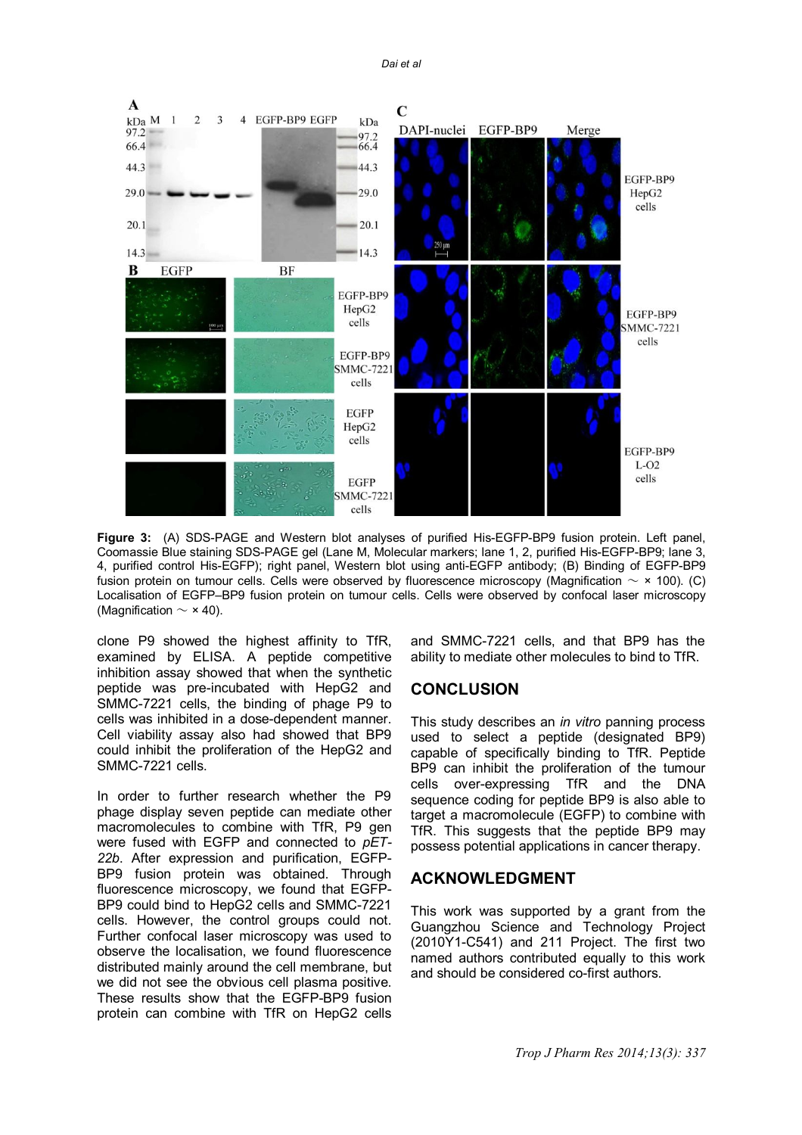*Dai et al*



**Figure 3:** (A) SDS-PAGE and Western blot analyses of purified His-EGFP-BP9 fusion protein. Left panel, Coomassie Blue staining SDS-PAGE gel (Lane M, Molecular markers; lane 1, 2, purified His-EGFP-BP9; lane 3, 4, purified control His-EGFP); right panel, Western blot using anti-EGFP antibody; (B) Binding of EGFP-BP9 fusion protein on tumour cells. Cells were observed by fluorescence microscopy (Magnification  $\sim$  × 100). (C) Localisation of EGFP–BP9 fusion protein on tumour cells. Cells were observed by confocal laser microscopy (Magnification  $\sim$   $\times$  40).

clone P9 showed the highest affinity to TfR, examined by ELISA. A peptide competitive inhibition assay showed that when the synthetic peptide was pre-incubated with HepG2 and SMMC-7221 cells, the binding of phage P9 to cells was inhibited in a dose-dependent manner. Cell viability assay also had showed that BP9 could inhibit the proliferation of the HepG2 and SMMC-7221 cells.

In order to further research whether the P9 phage display seven peptide can mediate other macromolecules to combine with TfR, P9 gen were fused with EGFP and connected to *pET-22b*. After expression and purification, EGFP-BP9 fusion protein was obtained. Through fluorescence microscopy, we found that EGFP-BP9 could bind to HepG2 cells and SMMC-7221 cells. However, the control groups could not. Further confocal laser microscopy was used to observe the localisation, we found fluorescence distributed mainly around the cell membrane, but we did not see the obvious cell plasma positive. These results show that the EGFP-BP9 fusion protein can combine with TfR on HepG2 cells

and SMMC-7221 cells, and that BP9 has the ability to mediate other molecules to bind to TfR.

## **CONCLUSION**

This study describes an *in vitro* panning process used to select a peptide (designated BP9) capable of specifically binding to TfR. Peptide BP9 can inhibit the proliferation of the tumour cells over-expressing TfR and the DNA sequence coding for peptide BP9 is also able to target a macromolecule (EGFP) to combine with TfR. This suggests that the peptide BP9 may possess potential applications in cancer therapy.

## **ACKNOWLEDGMENT**

This work was supported by a grant from the Guangzhou Science and Technology Project (2010Y1-C541) and 211 Project. The first two named authors contributed equally to this work and should be considered co-first authors.